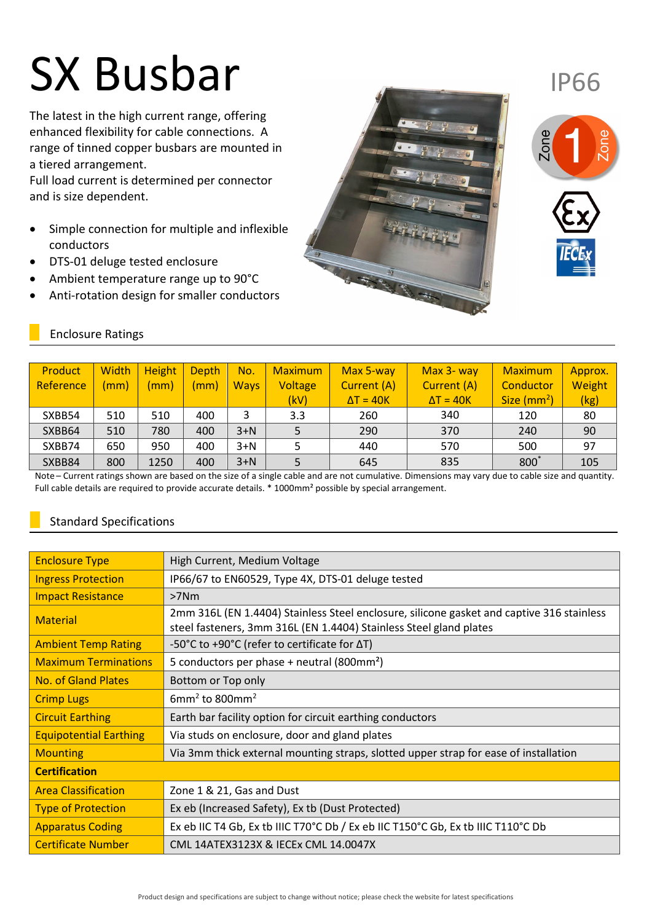# SX Busbar

The latest in the high current range, offering enhanced flexibility for cable connections. A range of tinned copper busbars are mounted in a tiered arrangement.

Full load current is determined per connector and is size dependent.

- Simple connection for multiple and inflexible conductors
- DTS-01 deluge tested enclosure
- Ambient temperature range up to 90°C
- Anti-rotation design for smaller conductors





IP66

## Enclosure Ratings

| Product   | <b>Width</b> | <b>Height</b> | Depth | No.         | <b>Maximum</b> | Max 5-way        | Max 3- way       | <b>Maximum</b> | Approx. |
|-----------|--------------|---------------|-------|-------------|----------------|------------------|------------------|----------------|---------|
| Reference | (mm)         | (mm)          | (mm)  | <b>Ways</b> | Voltage        | Current (A)      | Current (A)      | Conductor      | Weight  |
|           |              |               |       |             | (kV)           | $\Delta T = 40K$ | $\Delta T = 40K$ | Size $(mm^2)$  | (kg)    |
| SXBB54    | 510          | 510           | 400   | 3           | 3.3            | 260              | 340              | 120            | 80      |
| SXBB64    | 510          | 780           | 400   | $3+N$       |                | 290              | 370              | 240            | 90      |
| SXBB74    | 650          | 950           | 400   | $3+N$       |                | 440              | 570              | 500            | 97      |
| SXBB84    | 800          | 1250          | 400   | $3+N$       |                | 645              | 835              | 800            | 105     |

Note – Current ratings shown are based on the size of a single cable and are not cumulative. Dimensions may vary due to cable size and quantity. Full cable details are required to provide accurate details. \* 1000mm² possible by special arrangement.

# Standard Specifications

| <b>Enclosure Type</b>         | High Current, Medium Voltage                                                                                                                                    |  |  |  |  |
|-------------------------------|-----------------------------------------------------------------------------------------------------------------------------------------------------------------|--|--|--|--|
| <b>Ingress Protection</b>     | IP66/67 to EN60529, Type 4X, DTS-01 deluge tested                                                                                                               |  |  |  |  |
| <b>Impact Resistance</b>      | $>7$ Nm                                                                                                                                                         |  |  |  |  |
| <b>Material</b>               | 2mm 316L (EN 1.4404) Stainless Steel enclosure, silicone gasket and captive 316 stainless<br>steel fasteners, 3mm 316L (EN 1.4404) Stainless Steel gland plates |  |  |  |  |
| <b>Ambient Temp Rating</b>    | -50°C to +90°C (refer to certificate for ∆T)                                                                                                                    |  |  |  |  |
| <b>Maximum Terminations</b>   | 5 conductors per phase + neutral (800mm <sup>2</sup> )                                                                                                          |  |  |  |  |
| <b>No. of Gland Plates</b>    | Bottom or Top only                                                                                                                                              |  |  |  |  |
| <b>Crimp Lugs</b>             | 6mm <sup>2</sup> to 800mm <sup>2</sup>                                                                                                                          |  |  |  |  |
| <b>Circuit Earthing</b>       | Earth bar facility option for circuit earthing conductors                                                                                                       |  |  |  |  |
| <b>Equipotential Earthing</b> | Via studs on enclosure, door and gland plates                                                                                                                   |  |  |  |  |
| <b>Mounting</b>               | Via 3mm thick external mounting straps, slotted upper strap for ease of installation                                                                            |  |  |  |  |
| <b>Certification</b>          |                                                                                                                                                                 |  |  |  |  |
| <b>Area Classification</b>    | Zone 1 & 21, Gas and Dust                                                                                                                                       |  |  |  |  |
| <b>Type of Protection</b>     | Ex eb (Increased Safety), Ex tb (Dust Protected)                                                                                                                |  |  |  |  |
| <b>Apparatus Coding</b>       | Ex eb IIC T4 Gb, Ex tb IIIC T70°C Db / Ex eb IIC T150°C Gb, Ex tb IIIC T110°C Db                                                                                |  |  |  |  |
| <b>Certificate Number</b>     | CML 14ATEX3123X & IECEx CML 14.0047X                                                                                                                            |  |  |  |  |